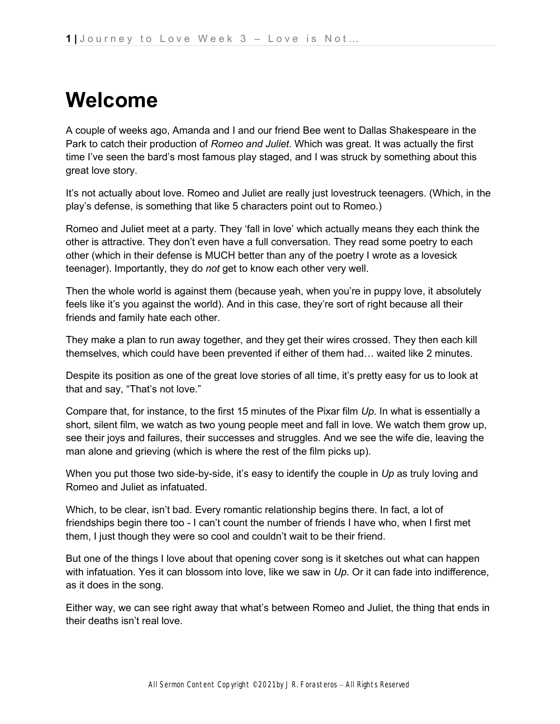# **Welcome**

A couple of weeks ago, Amanda and I and our friend Bee went to Dallas Shakespeare in the Park to catch their production of *Romeo and Juliet*. Which was great. It was actually the first time I've seen the bard's most famous play staged, and I was struck by something about this great love story.

It's not actually about love. Romeo and Juliet are really just lovestruck teenagers. (Which, in the play's defense, is something that like 5 characters point out to Romeo.)

Romeo and Juliet meet at a party. They 'fall in love' which actually means they each think the other is attractive. They don't even have a full conversation. They read some poetry to each other (which in their defense is MUCH better than any of the poetry I wrote as a lovesick teenager). Importantly, they do *not* get to know each other very well.

Then the whole world is against them (because yeah, when you're in puppy love, it absolutely feels like it's you against the world). And in this case, they're sort of right because all their friends and family hate each other.

They make a plan to run away together, and they get their wires crossed. They then each kill themselves, which could have been prevented if either of them had… waited like 2 minutes.

Despite its position as one of the great love stories of all time, it's pretty easy for us to look at that and say, "That's not love."

Compare that, for instance, to the first 15 minutes of the Pixar film *Up*. In what is essentially a short, silent film, we watch as two young people meet and fall in love. We watch them grow up, see their joys and failures, their successes and struggles. And we see the wife die, leaving the man alone and grieving (which is where the rest of the film picks up).

When you put those two side-by-side, it's easy to identify the couple in *Up* as truly loving and Romeo and Juliet as infatuated.

Which, to be clear, isn't bad. Every romantic relationship begins there. In fact, a lot of friendships begin there too - I can't count the number of friends I have who, when I first met them, I just though they were so cool and couldn't wait to be their friend.

But one of the things I love about that opening cover song is it sketches out what can happen with infatuation. Yes it can blossom into love, like we saw in *Up*. Or it can fade into indifference, as it does in the song.

Either way, we can see right away that what's between Romeo and Juliet, the thing that ends in their deaths isn't real love.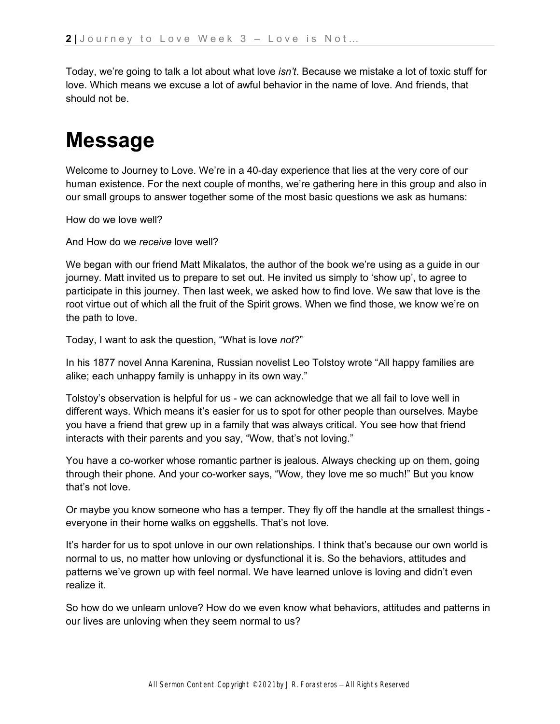Today, we're going to talk a lot about what love *isn't*. Because we mistake a lot of toxic stuff for love. Which means we excuse a lot of awful behavior in the name of love. And friends, that should not be.

## **Message**

Welcome to Journey to Love. We're in a 40-day experience that lies at the very core of our human existence. For the next couple of months, we're gathering here in this group and also in our small groups to answer together some of the most basic questions we ask as humans:

How do we love well?

And How do we *receive* love well?

We began with our friend Matt Mikalatos, the author of the book we're using as a guide in our journey. Matt invited us to prepare to set out. He invited us simply to 'show up', to agree to participate in this journey. Then last week, we asked how to find love. We saw that love is the root virtue out of which all the fruit of the Spirit grows. When we find those, we know we're on the path to love.

Today, I want to ask the question, "What is love *not*?"

In his 1877 novel Anna Karenina, Russian novelist Leo Tolstoy wrote "All happy families are alike; each unhappy family is unhappy in its own way."

Tolstoy's observation is helpful for us - we can acknowledge that we all fail to love well in different ways. Which means it's easier for us to spot for other people than ourselves. Maybe you have a friend that grew up in a family that was always critical. You see how that friend interacts with their parents and you say, "Wow, that's not loving."

You have a co-worker whose romantic partner is jealous. Always checking up on them, going through their phone. And your co-worker says, "Wow, they love me so much!" But you know that's not love.

Or maybe you know someone who has a temper. They fly off the handle at the smallest things everyone in their home walks on eggshells. That's not love.

It's harder for us to spot unlove in our own relationships. I think that's because our own world is normal to us, no matter how unloving or dysfunctional it is. So the behaviors, attitudes and patterns we've grown up with feel normal. We have learned unlove is loving and didn't even realize it.

So how do we unlearn unlove? How do we even know what behaviors, attitudes and patterns in our lives are unloving when they seem normal to us?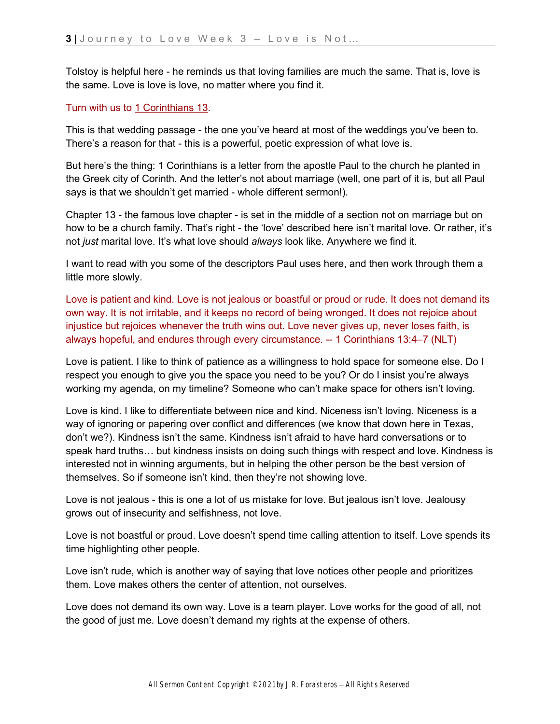Tolstoy is helpful here - he reminds us that loving families are much the same. That is, love is the same. Love is love is love, no matter where you find it.

#### Turn with us t[o](https://ref.ly/logosref/bible$2Bnlt.67.13) [1 Corinthians 13.](https://ref.ly/logosref/bible$2Bnlt.67.13)

This is that wedding passage - the one you've heard at most of the weddings you've been to. There's a reason for that - this is a powerful, poetic expression of what love is.

But here's the thing: 1 Corinthians is a letter from the apostle Paul to the church he planted in the Greek city of Corinth. And the letter's not about marriage (well, one part of it is, but all Paul says is that we shouldn't get married - whole different sermon!).

Chapter 13 - the famous love chapter - is set in the middle of a section not on marriage but on how to be a church family. That's right - the 'love' described here isn't marital love. Or rather, it's not *just* marital love. It's what love should *always* look like. Anywhere we find it.

I want to read with you some of the descriptors Paul uses here, and then work through them a little more slowly.

Love is patient and kind. Love is not jealous or boastful or proud or rude. It does not demand its own way. It is not irritable, and it keeps no record of being wronged. It does not rejoice about injustice but rejoices whenever the truth wins out. Love never gives up, never loses faith, is always hopeful, and endures through every circumstance. -- 1 Corinthians 13:4–7 (NLT)

Love is patient. I like to think of patience as a willingness to hold space for someone else. Do I respect you enough to give you the space you need to be you? Or do I insist you're always working my agenda, on my timeline? Someone who can't make space for others isn't loving.

Love is kind. I like to differentiate between nice and kind. Niceness isn't loving. Niceness is a way of ignoring or papering over conflict and differences (we know that down here in Texas, don't we?). Kindness isn't the same. Kindness isn't afraid to have hard conversations or to speak hard truths… but kindness insists on doing such things with respect and love. Kindness is interested not in winning arguments, but in helping the other person be the best version of themselves. So if someone isn't kind, then they're not showing love.

Love is not jealous - this is one a lot of us mistake for love. But jealous isn't love. Jealousy grows out of insecurity and selfishness, not love.

Love is not boastful or proud. Love doesn't spend time calling attention to itself. Love spends its time highlighting other people.

Love isn't rude, which is another way of saying that love notices other people and prioritizes them. Love makes others the center of attention, not ourselves.

Love does not demand its own way. Love is a team player. Love works for the good of all, not the good of just me. Love doesn't demand my rights at the expense of others.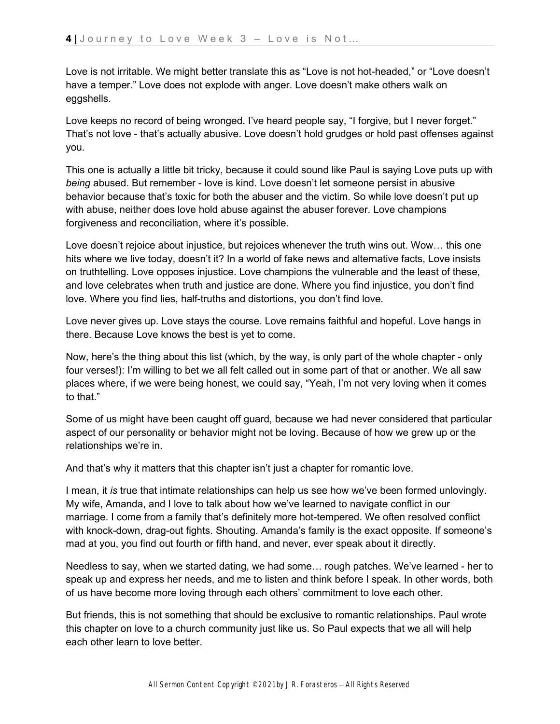Love is not irritable. We might better translate this as "Love is not hot-headed," or "Love doesn't have a temper." Love does not explode with anger. Love doesn't make others walk on eggshells.

Love keeps no record of being wronged. I've heard people say, "I forgive, but I never forget." That's not love - that's actually abusive. Love doesn't hold grudges or hold past offenses against you.

This one is actually a little bit tricky, because it could sound like Paul is saying Love puts up with *being* abused. But remember - love is kind. Love doesn't let someone persist in abusive behavior because that's toxic for both the abuser and the victim. So while love doesn't put up with abuse, neither does love hold abuse against the abuser forever. Love champions forgiveness and reconciliation, where it's possible.

Love doesn't rejoice about injustice, but rejoices whenever the truth wins out. Wow… this one hits where we live today, doesn't it? In a world of fake news and alternative facts, Love insists on truthtelling. Love opposes injustice. Love champions the vulnerable and the least of these, and love celebrates when truth and justice are done. Where you find injustice, you don't find love. Where you find lies, half-truths and distortions, you don't find love.

Love never gives up. Love stays the course. Love remains faithful and hopeful. Love hangs in there. Because Love knows the best is yet to come.

Now, here's the thing about this list (which, by the way, is only part of the whole chapter - only four verses!): I'm willing to bet we all felt called out in some part of that or another. We all saw places where, if we were being honest, we could say, "Yeah, I'm not very loving when it comes to that."

Some of us might have been caught off guard, because we had never considered that particular aspect of our personality or behavior might not be loving. Because of how we grew up or the relationships we're in.

And that's why it matters that this chapter isn't just a chapter for romantic love.

I mean, it *is* true that intimate relationships can help us see how we've been formed unlovingly. My wife, Amanda, and I love to talk about how we've learned to navigate conflict in our marriage. I come from a family that's definitely more hot-tempered. We often resolved conflict with knock-down, drag-out fights. Shouting. Amanda's family is the exact opposite. If someone's mad at you, you find out fourth or fifth hand, and never, ever speak about it directly.

Needless to say, when we started dating, we had some… rough patches. We've learned - her to speak up and express her needs, and me to listen and think before I speak. In other words, both of us have become more loving through each others' commitment to love each other.

But friends, this is not something that should be exclusive to romantic relationships. Paul wrote this chapter on love to a church community just like us. So Paul expects that we all will help each other learn to love better.